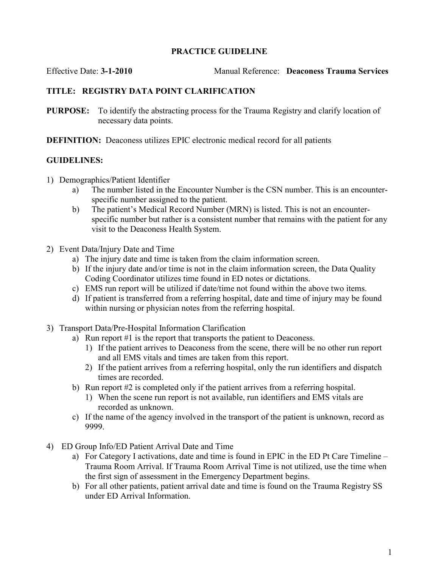## PRACTICE GUIDELINE

Effective Date: 3-1-2010 Manual Reference: Deaconess Trauma Services

## TITLE: REGISTRY DATA POINT CLARIFICATION

PURPOSE: To identify the abstracting process for the Trauma Registry and clarify location of necessary data points.

DEFINITION: Deaconess utilizes EPIC electronic medical record for all patients

## GUIDELINES:

- 1) Demographics/Patient Identifier
	- a) The number listed in the Encounter Number is the CSN number. This is an encounterspecific number assigned to the patient.
	- b) The patient's Medical Record Number (MRN) is listed. This is not an encounterspecific number but rather is a consistent number that remains with the patient for any visit to the Deaconess Health System.
- 2) Event Data/Injury Date and Time
	- a) The injury date and time is taken from the claim information screen.
	- b) If the injury date and/or time is not in the claim information screen, the Data Quality Coding Coordinator utilizes time found in ED notes or dictations.
	- c) EMS run report will be utilized if date/time not found within the above two items.
	- d) If patient is transferred from a referring hospital, date and time of injury may be found within nursing or physician notes from the referring hospital.
- 3) Transport Data/Pre-Hospital Information Clarification
	- a) Run report #1 is the report that transports the patient to Deaconess.
		- 1) If the patient arrives to Deaconess from the scene, there will be no other run report and all EMS vitals and times are taken from this report.
		- 2) If the patient arrives from a referring hospital, only the run identifiers and dispatch times are recorded.
	- b) Run report #2 is completed only if the patient arrives from a referring hospital.
		- 1) When the scene run report is not available, run identifiers and EMS vitals are recorded as unknown.
	- c) If the name of the agency involved in the transport of the patient is unknown, record as 9999.
- 4) ED Group Info/ED Patient Arrival Date and Time
	- a) For Category I activations, date and time is found in EPIC in the ED Pt Care Timeline Trauma Room Arrival. If Trauma Room Arrival Time is not utilized, use the time when the first sign of assessment in the Emergency Department begins.
	- b) For all other patients, patient arrival date and time is found on the Trauma Registry SS under ED Arrival Information.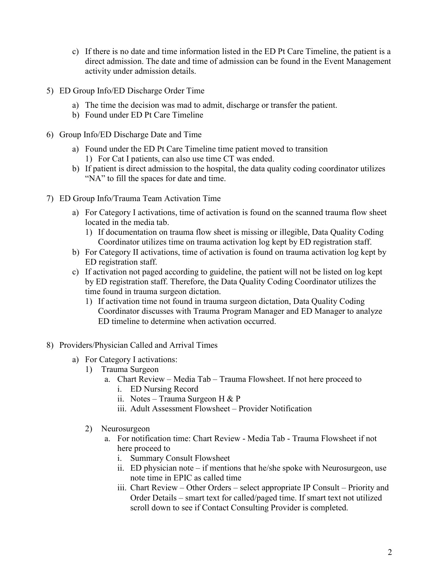- c) If there is no date and time information listed in the ED Pt Care Timeline, the patient is a direct admission. The date and time of admission can be found in the Event Management activity under admission details.
- 5) ED Group Info/ED Discharge Order Time
	- a) The time the decision was mad to admit, discharge or transfer the patient.
	- b) Found under ED Pt Care Timeline
- 6) Group Info/ED Discharge Date and Time
	- a) Found under the ED Pt Care Timeline time patient moved to transition 1) For Cat I patients, can also use time CT was ended.
	- b) If patient is direct admission to the hospital, the data quality coding coordinator utilizes "NA" to fill the spaces for date and time.
- 7) ED Group Info/Trauma Team Activation Time
	- a) For Category I activations, time of activation is found on the scanned trauma flow sheet located in the media tab.
		- 1) If documentation on trauma flow sheet is missing or illegible, Data Quality Coding Coordinator utilizes time on trauma activation log kept by ED registration staff.
	- b) For Category II activations, time of activation is found on trauma activation log kept by ED registration staff.
	- c) If activation not paged according to guideline, the patient will not be listed on log kept by ED registration staff. Therefore, the Data Quality Coding Coordinator utilizes the time found in trauma surgeon dictation.
		- 1) If activation time not found in trauma surgeon dictation, Data Quality Coding Coordinator discusses with Trauma Program Manager and ED Manager to analyze ED timeline to determine when activation occurred.
- 8) Providers/Physician Called and Arrival Times
	- a) For Category I activations:
		- 1) Trauma Surgeon
			- a. Chart Review Media Tab Trauma Flowsheet. If not here proceed to
				- i. ED Nursing Record
				- ii. Notes Trauma Surgeon H & P
				- iii. Adult Assessment Flowsheet Provider Notification
		- 2) Neurosurgeon
			- a. For notification time: Chart Review Media Tab Trauma Flowsheet if not here proceed to
				- i. Summary Consult Flowsheet
				- ii. ED physician note if mentions that he/she spoke with Neurosurgeon, use note time in EPIC as called time
				- iii. Chart Review Other Orders select appropriate IP Consult Priority and Order Details – smart text for called/paged time. If smart text not utilized scroll down to see if Contact Consulting Provider is completed.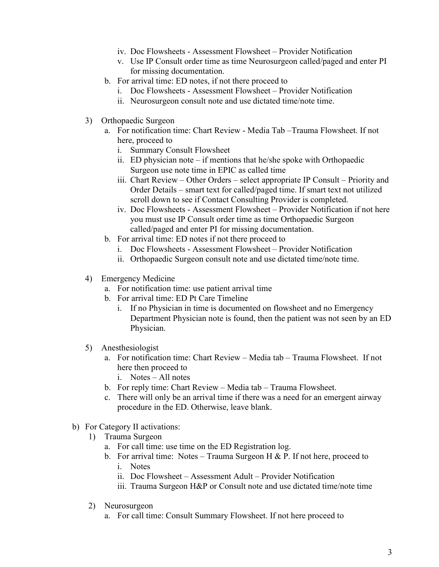- iv. Doc Flowsheets Assessment Flowsheet Provider Notification
- v. Use IP Consult order time as time Neurosurgeon called/paged and enter PI for missing documentation.
- b. For arrival time: ED notes, if not there proceed to
	- i. Doc Flowsheets Assessment Flowsheet Provider Notification
	- ii. Neurosurgeon consult note and use dictated time/note time.
- 3) Orthopaedic Surgeon
	- a. For notification time: Chart Review Media Tab –Trauma Flowsheet. If not here, proceed to
		- i. Summary Consult Flowsheet
		- ii. ED physician note if mentions that he/she spoke with Orthopaedic Surgeon use note time in EPIC as called time
		- iii. Chart Review Other Orders select appropriate IP Consult Priority and Order Details – smart text for called/paged time. If smart text not utilized scroll down to see if Contact Consulting Provider is completed.
		- iv. Doc Flowsheets Assessment Flowsheet Provider Notification if not here you must use IP Consult order time as time Orthopaedic Surgeon called/paged and enter PI for missing documentation.
	- b. For arrival time: ED notes if not there proceed to
		- i. Doc Flowsheets Assessment Flowsheet Provider Notification
		- ii. Orthopaedic Surgeon consult note and use dictated time/note time.
- 4) Emergency Medicine
	- a. For notification time: use patient arrival time
	- b. For arrival time: ED Pt Care Timeline
		- i. If no Physician in time is documented on flowsheet and no Emergency Department Physician note is found, then the patient was not seen by an ED Physician.
- 5) Anesthesiologist
	- a. For notification time: Chart Review Media tab Trauma Flowsheet. If not here then proceed to
		- i. Notes All notes
	- b. For reply time: Chart Review Media tab Trauma Flowsheet.
	- c. There will only be an arrival time if there was a need for an emergent airway procedure in the ED. Otherwise, leave blank.
- b) For Category II activations:
	- 1) Trauma Surgeon
		- a. For call time: use time on the ED Registration log.
		- b. For arrival time: Notes Trauma Surgeon H & P. If not here, proceed to i. Notes
			- ii. Doc Flowsheet Assessment Adult Provider Notification
			- iii. Trauma Surgeon H&P or Consult note and use dictated time/note time
	- 2) Neurosurgeon
		- a. For call time: Consult Summary Flowsheet. If not here proceed to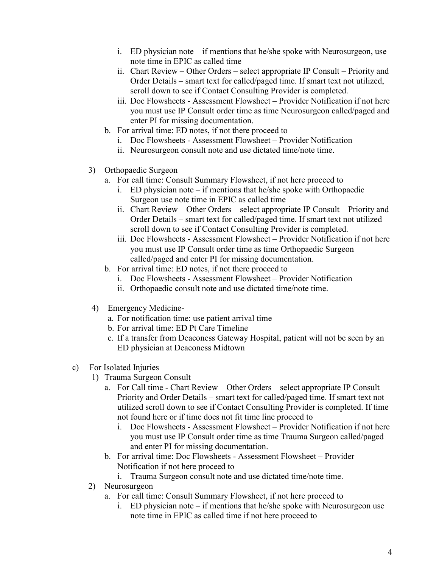- i. ED physician note if mentions that he/she spoke with Neurosurgeon, use note time in EPIC as called time
- ii. Chart Review Other Orders select appropriate IP Consult Priority and Order Details – smart text for called/paged time. If smart text not utilized, scroll down to see if Contact Consulting Provider is completed.
- iii. Doc Flowsheets Assessment Flowsheet Provider Notification if not here you must use IP Consult order time as time Neurosurgeon called/paged and enter PI for missing documentation.
- b. For arrival time: ED notes, if not there proceed to
	- i. Doc Flowsheets Assessment Flowsheet Provider Notification
	- ii. Neurosurgeon consult note and use dictated time/note time.
- 3) Orthopaedic Surgeon
	- a. For call time: Consult Summary Flowsheet, if not here proceed to
		- i. ED physician note if mentions that he/she spoke with Orthopaedic Surgeon use note time in EPIC as called time
		- ii. Chart Review Other Orders select appropriate IP Consult Priority and Order Details – smart text for called/paged time. If smart text not utilized scroll down to see if Contact Consulting Provider is completed.
		- iii. Doc Flowsheets Assessment Flowsheet Provider Notification if not here you must use IP Consult order time as time Orthopaedic Surgeon called/paged and enter PI for missing documentation.
	- b. For arrival time: ED notes, if not there proceed to
		- i. Doc Flowsheets Assessment Flowsheet Provider Notification
		- ii. Orthopaedic consult note and use dictated time/note time.
- 4) Emergency Medicine
	- a. For notification time: use patient arrival time
	- b. For arrival time: ED Pt Care Timeline
	- c. If a transfer from Deaconess Gateway Hospital, patient will not be seen by an ED physician at Deaconess Midtown
- c) For Isolated Injuries
	- 1) Trauma Surgeon Consult
		- a. For Call time Chart Review Other Orders select appropriate IP Consult Priority and Order Details – smart text for called/paged time. If smart text not utilized scroll down to see if Contact Consulting Provider is completed. If time not found here or if time does not fit time line proceed to
			- i. Doc Flowsheets Assessment Flowsheet Provider Notification if not here you must use IP Consult order time as time Trauma Surgeon called/paged and enter PI for missing documentation.
		- b. For arrival time: Doc Flowsheets Assessment Flowsheet Provider Notification if not here proceed to
			- i. Trauma Surgeon consult note and use dictated time/note time.
	- 2) Neurosurgeon
		- a. For call time: Consult Summary Flowsheet, if not here proceed to
			- i. ED physician note if mentions that he/she spoke with Neurosurgeon use note time in EPIC as called time if not here proceed to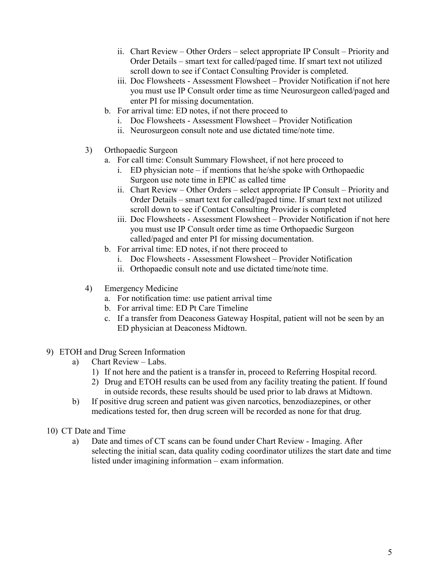- ii. Chart Review Other Orders select appropriate IP Consult Priority and Order Details – smart text for called/paged time. If smart text not utilized scroll down to see if Contact Consulting Provider is completed.
- iii. Doc Flowsheets Assessment Flowsheet Provider Notification if not here you must use IP Consult order time as time Neurosurgeon called/paged and enter PI for missing documentation.
- b. For arrival time: ED notes, if not there proceed to
	- i. Doc Flowsheets Assessment Flowsheet Provider Notification
	- ii. Neurosurgeon consult note and use dictated time/note time.
- 3) Orthopaedic Surgeon
	- a. For call time: Consult Summary Flowsheet, if not here proceed to
		- i. ED physician note if mentions that he/she spoke with Orthopaedic Surgeon use note time in EPIC as called time
		- ii. Chart Review Other Orders select appropriate IP Consult Priority and Order Details – smart text for called/paged time. If smart text not utilized scroll down to see if Contact Consulting Provider is completed
		- iii. Doc Flowsheets Assessment Flowsheet Provider Notification if not here you must use IP Consult order time as time Orthopaedic Surgeon called/paged and enter PI for missing documentation.
	- b. For arrival time: ED notes, if not there proceed to
		- i. Doc Flowsheets Assessment Flowsheet Provider Notification
		- ii. Orthopaedic consult note and use dictated time/note time.
- 4) Emergency Medicine
	- a. For notification time: use patient arrival time
	- b. For arrival time: ED Pt Care Timeline
	- c. If a transfer from Deaconess Gateway Hospital, patient will not be seen by an ED physician at Deaconess Midtown.
- 9) ETOH and Drug Screen Information
	- a) Chart Review Labs.
		- 1) If not here and the patient is a transfer in, proceed to Referring Hospital record.
		- 2) Drug and ETOH results can be used from any facility treating the patient. If found in outside records, these results should be used prior to lab draws at Midtown.
	- b) If positive drug screen and patient was given narcotics, benzodiazepines, or other medications tested for, then drug screen will be recorded as none for that drug.
- 10) CT Date and Time
	- a) Date and times of CT scans can be found under Chart Review Imaging. After selecting the initial scan, data quality coding coordinator utilizes the start date and time listed under imagining information – exam information.